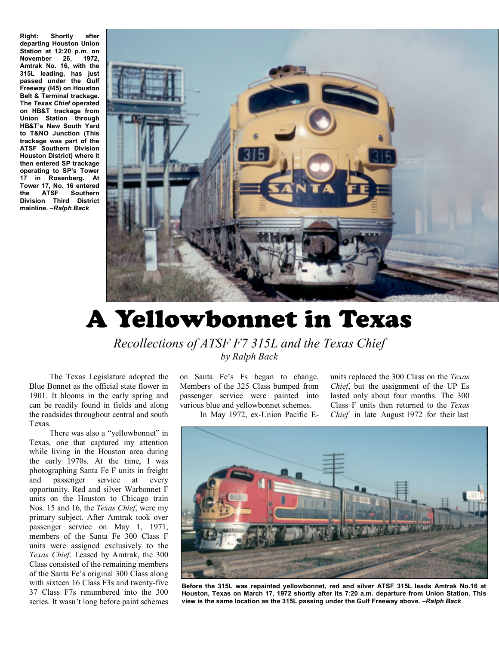**Right: Shortly after departing Houston Union Station at 12:20 p.m. on November 26, 1972, Amtrak No. 16, with the 315L leading, has just passed under the Gulf Freeway (I45) on Houston Belt & Terminal trackage. The** *Texas Chief* **operated on HB&T trackage from Union Station through HB&T's New South Yard to T&NO Junction (This trackage was part of the ATSF Southern Division Houston District) where it then entered SP trackage operating to SP's Tower 17 in Rosenberg. At Tower 17, No. 16 entered the ATSF Southern Division Third District mainline. –***Ralph Back*



## A Yellowbonnet in Texas

*Recollections of ATSF F7 315L and the Texas Chief by Ralph Back* 

 The Texas Legislature adopted the Blue Bonnet as the official state flower in 1901. It blooms in the early spring and can be readily found in fields and along the roadsides throughout central and south Texas.

 There was also a "yellowbonnet" in Texas, one that captured my attention while living in the Houston area during the early 1970s. At the time, I was photographing Santa Fe F units in freight and passenger service at every opportunity. Red and silver Warbonnet F units on the Houston to Chicago train Nos. 15 and 16, the *Texas Chief*, were my primary subject. After Amtrak took over passenger service on May 1, 1971, members of the Santa Fe 300 Class F units were assigned exclusively to the *Texas Chief*. Leased by Amtrak, the 300 Class consisted of the remaining members of the Santa Fe's original 300 Class along with sixteen 16 Class F3s and twenty-five 37 Class F7s renumbered into the 300 series. It wasn't long before paint schemes

on Santa Fe's Fs began to change. Members of the 325 Class bumped from passenger service were painted into various blue and yellowbonnet schemes.

In May 1972, ex-Union Pacific E-

units replaced the 300 Class on the *Texas Chief*, but the assignment of the UP Es lasted only about four months. The 300 Class F units then returned to the *Texas Chief* in late August 1972 for their last



**Before the 315L was repainted yellowbonnet, red and silver ATSF 315L leads Amtrak No.16 at Houston, Texas on March 17, 1972 shortly after its 7:20 a.m. departure from Union Station. This view is the same location as the 315L passing under the Gulf Freeway above. –***Ralph Back*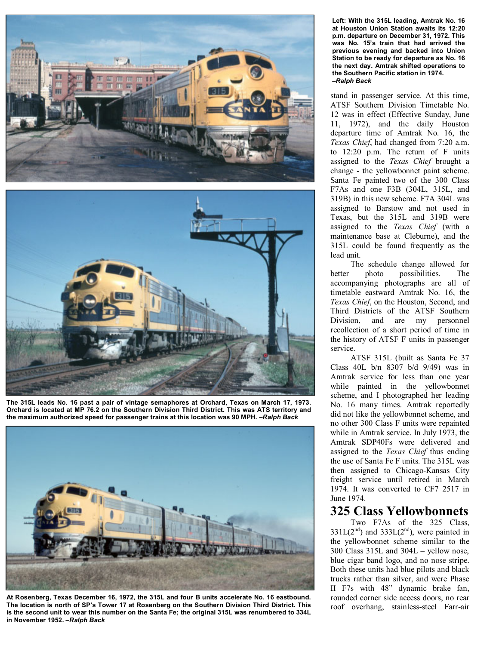



**The 315L leads No. 16 past a pair of vintage semaphores at Orchard, Texas on March 17, 1973. Orchard is located at MP 76.2 on the Southern Division Third District. This was ATS territory and the maximum authorized speed for passenger trains at this location was 90 MPH. –***Ralph Back*



**At Rosenberg, Texas December 16, 1972, the 315L and four B units accelerate No. 16 eastbound. The location is north of SP's Tower 17 at Rosenberg on the Southern Division Third District. This is the second unit to wear this number on the Santa Fe; the original 315L was renumbered to 334L in November 1952. –***Ralph Back*

**Left: With the 315L leading, Amtrak No. 16 at Houston Union Station awaits its 12:20 p.m. departure on December 31, 1972. This was No. 15's train that had arrived the previous evening and backed into Union Station to be ready for departure as No. 16 the next day. Amtrak shifted operations to the Southern Pacific station in 1974. –***Ralph Back*

stand in passenger service. At this time, ATSF Southern Division Timetable No. 12 was in effect (Effective Sunday, June 11, 1972), and the daily Houston departure time of Amtrak No. 16, the *Texas Chief*, had changed from 7:20 a.m. to 12:20 p.m. The return of F units assigned to the *Texas Chief* brought a change - the yellowbonnet paint scheme. Santa Fe painted two of the 300 Class F7As and one F3B (304L, 315L, and 319B) in this new scheme. F7A 304L was assigned to Barstow and not used in Texas, but the 315L and 319B were assigned to the *Texas Chief* (with a maintenance base at Cleburne), and the 315L could be found frequently as the lead unit.

 The schedule change allowed for better photo possibilities. The accompanying photographs are all of timetable eastward Amtrak No. 16, the *Texas Chief*, on the Houston, Second, and Third Districts of the ATSF Southern Division, and are my personnel recollection of a short period of time in the history of ATSF F units in passenger service.

 ATSF 315L (built as Santa Fe 37 Class 40L b/n 8307 b/d 9/49) was in Amtrak service for less than one year while painted in the yellowbonnet scheme, and I photographed her leading No. 16 many times. Amtrak reportedly did not like the yellowbonnet scheme, and no other 300 Class F units were repainted while in Amtrak service. In July 1973, the Amtrak SDP40Fs were delivered and assigned to the *Texas Chief* thus ending the use of Santa Fe F units. The 315L was then assigned to Chicago-Kansas City freight service until retired in March 1974. It was converted to CF7 2517 in June 1974.

## **325 Class Yellowbonnets**

 Two F7As of the 325 Class,  $331L(2<sup>nd</sup>)$  and  $333L(2<sup>nd</sup>)$ , were painted in the yellowbonnet scheme similar to the 300 Class 315L and 304L – yellow nose, blue cigar band logo, and no nose stripe. Both these units had blue pilots and black trucks rather than silver, and were Phase II F7s with 48" dynamic brake fan, rounded corner side access doors, no rear roof overhang, stainless-steel Farr-air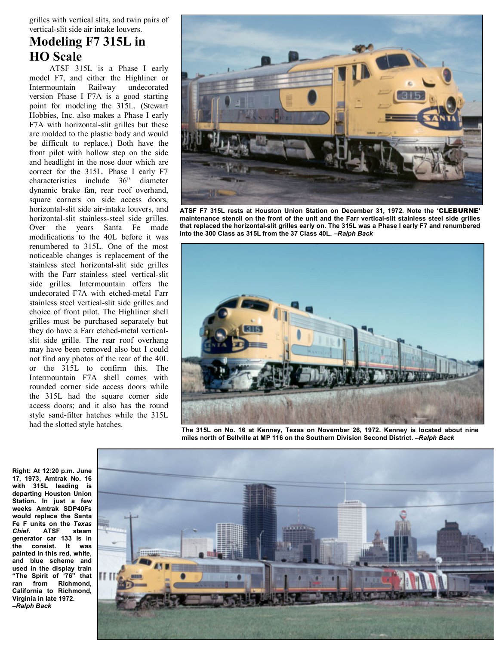grilles with vertical slits, and twin pairs of vertical-slit side air intake louvers.

## **Modeling F7 315L in HO Scale**

 ATSF 315L is a Phase I early model F7, and either the Highliner or Intermountain Railway undecorated version Phase I F7A is a good starting point for modeling the 315L. (Stewart Hobbies, Inc. also makes a Phase I early F7A with horizontal-slit grilles but these are molded to the plastic body and would be difficult to replace.) Both have the front pilot with hollow step on the side and headlight in the nose door which are correct for the 315L. Phase I early F7 characteristics include 36" diameter dynamic brake fan, rear roof overhand, square corners on side access doors, horizontal-slit side air-intake louvers, and horizontal-slit stainless-steel side grilles. Over the years Santa Fe made modifications to the 40L before it was renumbered to 315L. One of the most noticeable changes is replacement of the stainless steel horizontal-slit side grilles with the Farr stainless steel vertical-slit side grilles. Intermountain offers the undecorated F7A with etched-metal Farr stainless steel vertical-slit side grilles and choice of front pilot. The Highliner shell grilles must be purchased separately but they do have a Farr etched-metal verticalslit side grille. The rear roof overhang may have been removed also but I could not find any photos of the rear of the 40L or the 315L to confirm this. The Intermountain F7A shell comes with rounded corner side access doors while the 315L had the square corner side access doors; and it also has the round style sand-filter hatches while the 315L had the slotted style hatches.

![](_page_2_Picture_3.jpeg)

**ATSF F7 315L rests at Houston Union Station on December 31, 1972. Note the '**CLEBURNE**' maintenance stencil on the front of the unit and the Farr vertical-slit stainless steel side grilles that replaced the horizontal-slit grilles early on. The 315L was a Phase I early F7 and renumbered into the 300 Class as 315L from the 37 Class 40L. –***Ralph Back*

![](_page_2_Picture_5.jpeg)

**The 315L on No. 16 at Kenney, Texas on November 26, 1972. Kenney is located about nine miles north of Bellville at MP 116 on the Southern Division Second District. –***Ralph Back*

**Right: At 12:20 p.m. June 17, 1973, Amtrak No. 16 with 315L leading is departing Houston Union Station. In just a few weeks Amtrak SDP40Fs would replace the Santa Fe F units on the** *Texas Chief***. ATSF steam generator car 133 is in the consist. It was painted in this red, white, and blue scheme and used in the display train "The Spirit of '76" that ran from Richmond, California to Richmond, Virginia in late 1972. –***Ralph Back*

![](_page_2_Picture_8.jpeg)